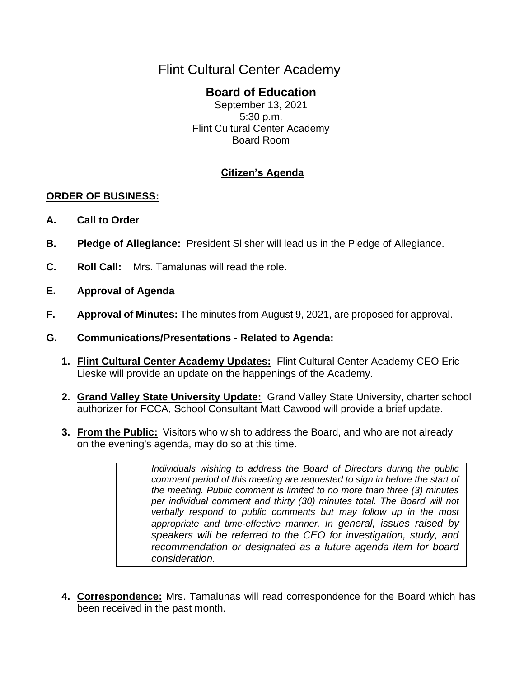# Flint Cultural Center Academy

## **Board of Education**

September 13, 2021 5:30 p.m. Flint Cultural Center Academy Board Room

### **Citizen's Agenda**

#### **ORDER OF BUSINESS:**

- **A. Call to Order**
- **B. Pledge of Allegiance:** President Slisher will lead us in the Pledge of Allegiance.
- **C. Roll Call:** Mrs. Tamalunas will read the role.
- **E. Approval of Agenda**
- **F. Approval of Minutes:** The minutes from August 9, 2021, are proposed for approval.
- **G. Communications/Presentations - Related to Agenda:**
	- **1. Flint Cultural Center Academy Updates:** Flint Cultural Center Academy CEO Eric Lieske will provide an update on the happenings of the Academy.
	- **2. Grand Valley State University Update:** Grand Valley State University, charter school authorizer for FCCA, School Consultant Matt Cawood will provide a brief update.
	- **3. From the Public:** Visitors who wish to address the Board, and who are not already on the evening's agenda, may do so at this time.

*Individuals wishing to address the Board of Directors during the public comment period of this meeting are requested to sign in before the start of the meeting. Public comment is limited to no more than three (3) minutes per individual comment and thirty (30) minutes total. The Board will not verbally respond to public comments but may follow up in the most appropriate and time-effective manner. In general, issues raised by speakers will be referred to the CEO for investigation, study, and recommendation or designated as a future agenda item for board consideration.*

**4. Correspondence:** Mrs. Tamalunas will read correspondence for the Board which has been received in the past month.